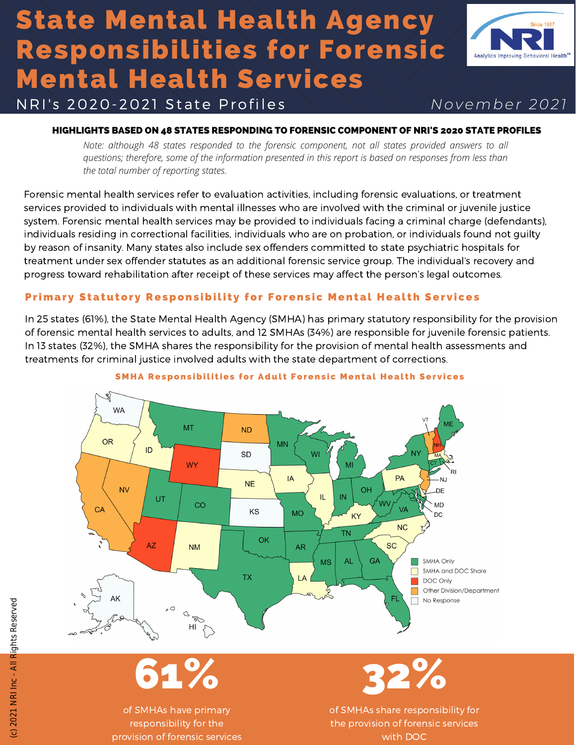# State Mental Health Agency Responsibilities for Forensic Mental Health Services



N RI' s 2 0 2 0-2 0 2 1 S t a t e P r o f i l e s *<sup>N</sup> o v e m b e r 2 0 2 1*

## HIGHLIGHTS BASED ON 48 STATES RESPONDING TO FORENSIC COMPONENT OF NRI'S 2020 STATE PROFILES

*Note: although 48 states responded to the forensic component, not all states provided answers to all questions; therefore, some of the information presented in this report is based on responses from less than the total number of reporting states.*

Forensic mental health services refer to evaluation activities, including forensic evaluations, or treatment services provided to individuals with mental illnesses who are involved with the criminal or juvenile justice system. Forensic mental health services may be provided to individuals facing a criminal charge (defendants), individuals residing in correctional facilities, individuals who are on probation, or individuals found not guilty by reason of insanity. Many states also include sex offenders committed to state psychiatric hospitals for treatment under sex offender statutes as an additional forensic service group. The individual's recovery and progress toward rehabilitation after receipt of these services may affect the person's legal outcomes.

## Primary Statutory Responsibility for Forensic Mental Health Services

In 25 states (61%), the State Mental Health Agency (SMHA) has primary statutory responsibility for the provision of forensic mental health services to adults, and 12 SMHAs (34%) are responsible for juvenile forensic patients. In 13 states (32%), the SMHA shares the responsibility for the provision of mental health assessments and treatments for criminal justice involved adults with the state department of corrections.



#### SMHA Responsibilities for Adult Forensic Mental Health Services

61%

of SMHAs have primary responsibility for the provision of forensic services



of SMHAs share responsibility for the provision of forensic services with DOC